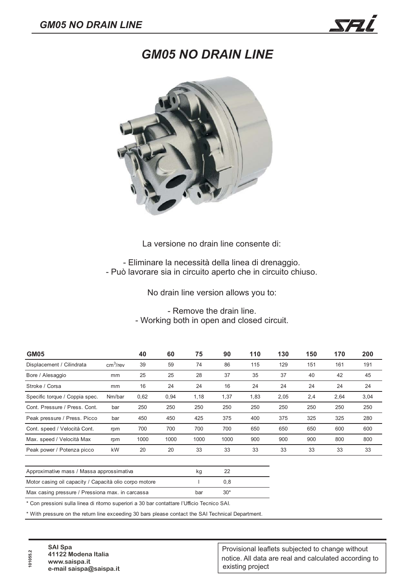## *GM05 NO DRAIN LINE*



La versione no drain line consente di:

- Eliminare la necessità della linea di drenaggio. - Può lavorare sia in circuito aperto che in circuito chiuso.

No drain line version allows you to:

- Remove the drain line. - Working both in open and closed circuit.

| GM05                           |                      | 40   | 60   | 75   | 90   | 110  | 130  | 150 | 170  | 200  |
|--------------------------------|----------------------|------|------|------|------|------|------|-----|------|------|
| Displacement / Cilindrata      | cm <sup>3</sup> /rev | 39   | 59   | 74   | 86   | 115  | 129  | 151 | 161  | 191  |
| Bore / Alesaggio               | mm                   | 25   | 25   | 28   | 37   | 35   | 37   | 40  | 42   | 45   |
| Stroke / Corsa                 | mm                   | 16   | 24   | 24   | 16   | 24   | 24   | 24  | 24   | 24   |
| Specific torque / Coppia spec. | Nm/bar               | 0,62 | 0,94 | 1,18 | 1,37 | 1,83 | 2,05 | 2,4 | 2,64 | 3,04 |
| Cont. Pressure / Press. Cont.  | bar                  | 250  | 250  | 250  | 250  | 250  | 250  | 250 | 250  | 250  |
| Peak pressure / Press. Picco   | bar                  | 450  | 450  | 425  | 375  | 400  | 375  | 325 | 325  | 280  |
| Cont. speed / Velocità Cont.   | rpm                  | 700  | 700  | 700  | 700  | 650  | 650  | 650 | 600  | 600  |
| Max. speed / Velocità Max      | rpm                  | 1000 | 1000 | 1000 | 1000 | 900  | 900  | 900 | 800  | 800  |
| Peak power / Potenza picco     | kW                   | 20   | 20   | 33   | 33   | 33   | 33   | 33  | 33   | 33   |
|                                |                      |      |      |      |      |      |      |     |      |      |

| Approximative mass / Massa approssimativa              |     |       |
|--------------------------------------------------------|-----|-------|
| Motor casing oil capacity / Capacità olio corpo motore |     | 0.8   |
| Max casing pressure / Pressiona max. in carcassa       | bar | $30*$ |

\* Con pressioni sulla linea di ritorno superiori a 30 bar contattare l'Ufficio Tecnico SAI.

\* With pressure on the return line exceeding 30 bars please contact the SAI Technical Department.